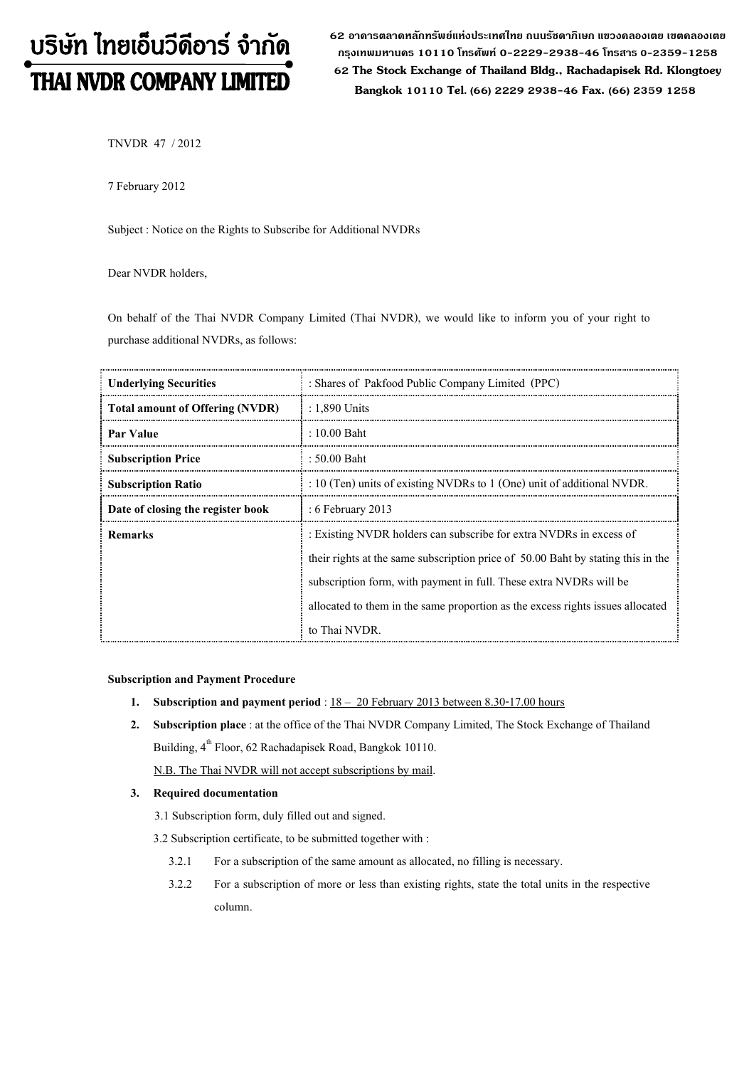# บริษัท ไทยเอ็นวีดีอาร์ จำกัด THAI NVDR COMPANY LIMITED

62 อาดารตลาดหลักทรัพย์แห่งประเทศไทย ถนนรัซดาภิเษก แขวงดลองเตย เขตดลองเตย กรุงเทพมหานดร 10110 โทรศัพท์ 0-2229-2938-46 โทรสาร 0-2359-1258 62 The Stock Exchange of Thailand Bldg., Rachadapisek Rd. Klongtoey Bangkok <sup>10110</sup> Tel. (66) 2229 2938-46 Fax. (66) 2359 1258

TNVDR 47 / 2012

7 February 2012

Subject : Notice on the Rights to Subscribe for Additional NVDRs

Dear NVDR holders,

On behalf of the Thai NVDR Company Limited (Thai NVDR), we would like to inform you of your right to purchase additional NVDRs, as follows:

| <b>Underlying Securities</b>           | : Shares of Pakfood Public Company Limited (PPC)                                                                                                                                                                                                                                                                                |  |  |  |
|----------------------------------------|---------------------------------------------------------------------------------------------------------------------------------------------------------------------------------------------------------------------------------------------------------------------------------------------------------------------------------|--|--|--|
| <b>Total amount of Offering (NVDR)</b> | $: 1,890$ Units                                                                                                                                                                                                                                                                                                                 |  |  |  |
| Par Value                              | : 10.00 Baht                                                                                                                                                                                                                                                                                                                    |  |  |  |
| <b>Subscription Price</b>              | : 50.00 Baht                                                                                                                                                                                                                                                                                                                    |  |  |  |
| <b>Subscription Ratio</b>              | : 10 (Ten) units of existing NVDRs to 1 (One) unit of additional NVDR.                                                                                                                                                                                                                                                          |  |  |  |
| Date of closing the register book      | $:6$ February 2013                                                                                                                                                                                                                                                                                                              |  |  |  |
| <b>Remarks</b>                         | : Existing NVDR holders can subscribe for extra NVDRs in excess of<br>their rights at the same subscription price of 50.00 Baht by stating this in the<br>subscription form, with payment in full. These extra NVDRs will be<br>allocated to them in the same proportion as the excess rights issues allocated<br>to Thai NVDR. |  |  |  |

#### Subscription and Payment Procedure

- 1. Subscription and payment period :  $18 20$  February 2013 between 8.30-17.00 hours
- 2. Subscription place : at the office of the Thai NVDR Company Limited, The Stock Exchange of Thailand Building, 4<sup>th</sup> Floor, 62 Rachadapisek Road, Bangkok 10110.

N.B. The Thai NVDR will not accept subscriptions by mail.

#### 3. Required documentation

- 3.1 Subscription form, duly filled out and signed.
- 3.2 Subscription certificate, to be submitted together with :
	- 3.2.1 For a subscription of the same amount as allocated, no filling is necessary.
	- 3.2.2 For a subscription of more or less than existing rights, state the total units in the respective column.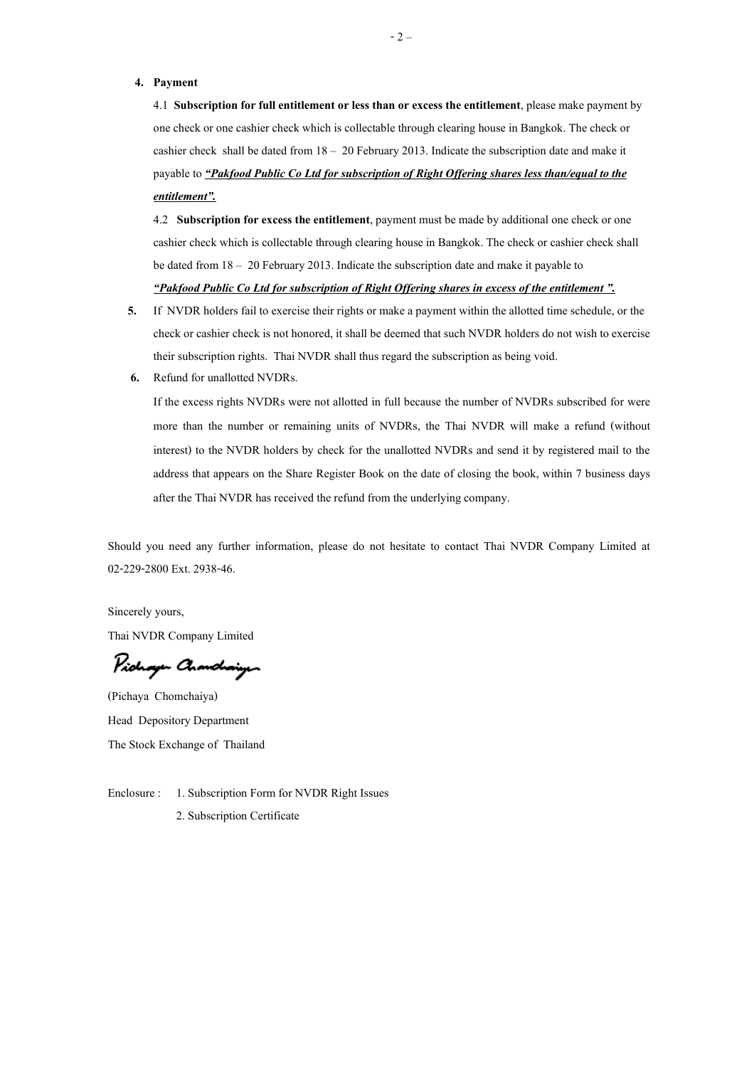#### 4. Payment

4.1 Subscription for full entitlement or less than or excess the entitlement, please make payment by one check or one cashier check which is collectable through clearing house in Bangkok. The check or cashier check shall be dated from  $18 - 20$  February 2013. Indicate the subscription date and make it payable to <u>"Pakfood Public Co Ltd for subscription of Right Offering shares less than/equal to the</u> entitlement".

4.2 Subscription for excess the entitlement, payment must be made by additional one check or one cashier check which is collectable through clearing house in Bangkok. The check or cashier check shall be dated from  $18 - 20$  February 2013. Indicate the subscription date and make it payable to "Pakfood Public Co Ltd for subscription of Right Offering shares in excess of the entitlement".

- 5. If NVDR holders fail to exercise their rights or make a payment within the allotted time schedule, or the check or cashier check is not honored, it shall be deemed that such NVDR holders do not wish to exercise their subscription rights. Thai NVDR shall thus regard the subscription as being void.
- 6. Refund for unallotted NVDRs.

If the excess rights NVDRs were not allotted in full because the number of NVDRs subscribed for were more than the number or remaining units of NVDRs, the Thai NVDR will make a refund (without interest) to the NVDR holders by check for the unallotted NVDRs and send it by registered mail to the address that appears on the Share Register Book on the date of closing the book, within 7 business days after the Thai NVDR has received the refund from the underlying company.

Should you need any further information, please do not hesitate to contact Thai NVDR Company Limited at 02-229-2800 Ext. 2938-46.

Sincerely yours,

Thai NVDR Company Limited

Pichogen Chanchaigen

(Pichaya Chomchaiya) Head Depository Department The Stock Exchange of Thailand

Enclosure : 1. Subscription Form for NVDR Right Issues 2. Subscription Certificate